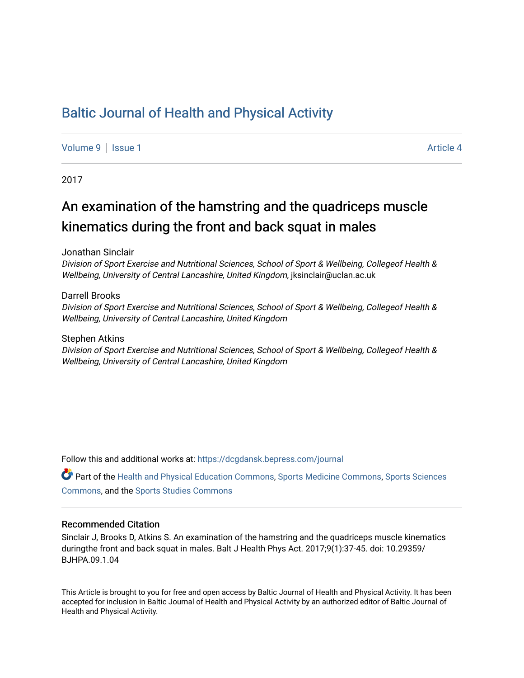## [Baltic Journal of Health and Physical Activity](https://dcgdansk.bepress.com/journal)

[Volume 9](https://dcgdansk.bepress.com/journal/vol9) | [Issue 1](https://dcgdansk.bepress.com/journal/vol9/iss1) Article 4

2017

## An examination of the hamstring and the quadriceps muscle kinematics during the front and back squat in males

Jonathan Sinclair

Division of Sport Exercise and Nutritional Sciences, School of Sport & Wellbeing, Collegeof Health & Wellbeing, University of Central Lancashire, United Kingdom, jksinclair@uclan.ac.uk

Darrell Brooks Division of Sport Exercise and Nutritional Sciences, School of Sport & Wellbeing, Collegeof Health & Wellbeing, University of Central Lancashire, United Kingdom

Stephen Atkins Division of Sport Exercise and Nutritional Sciences, School of Sport & Wellbeing, Collegeof Health & Wellbeing, University of Central Lancashire, United Kingdom

Follow this and additional works at: [https://dcgdansk.bepress.com/journal](https://dcgdansk.bepress.com/journal?utm_source=dcgdansk.bepress.com%2Fjournal%2Fvol9%2Fiss1%2F4&utm_medium=PDF&utm_campaign=PDFCoverPages)

Part of the [Health and Physical Education Commons](http://network.bepress.com/hgg/discipline/1327?utm_source=dcgdansk.bepress.com%2Fjournal%2Fvol9%2Fiss1%2F4&utm_medium=PDF&utm_campaign=PDFCoverPages), [Sports Medicine Commons,](http://network.bepress.com/hgg/discipline/1331?utm_source=dcgdansk.bepress.com%2Fjournal%2Fvol9%2Fiss1%2F4&utm_medium=PDF&utm_campaign=PDFCoverPages) [Sports Sciences](http://network.bepress.com/hgg/discipline/759?utm_source=dcgdansk.bepress.com%2Fjournal%2Fvol9%2Fiss1%2F4&utm_medium=PDF&utm_campaign=PDFCoverPages) [Commons](http://network.bepress.com/hgg/discipline/759?utm_source=dcgdansk.bepress.com%2Fjournal%2Fvol9%2Fiss1%2F4&utm_medium=PDF&utm_campaign=PDFCoverPages), and the [Sports Studies Commons](http://network.bepress.com/hgg/discipline/1198?utm_source=dcgdansk.bepress.com%2Fjournal%2Fvol9%2Fiss1%2F4&utm_medium=PDF&utm_campaign=PDFCoverPages) 

### Recommended Citation

Sinclair J, Brooks D, Atkins S. An examination of the hamstring and the quadriceps muscle kinematics duringthe front and back squat in males. Balt J Health Phys Act. 2017;9(1):37-45. doi: 10.29359/ BJHPA.09.1.04

This Article is brought to you for free and open access by Baltic Journal of Health and Physical Activity. It has been accepted for inclusion in Baltic Journal of Health and Physical Activity by an authorized editor of Baltic Journal of Health and Physical Activity.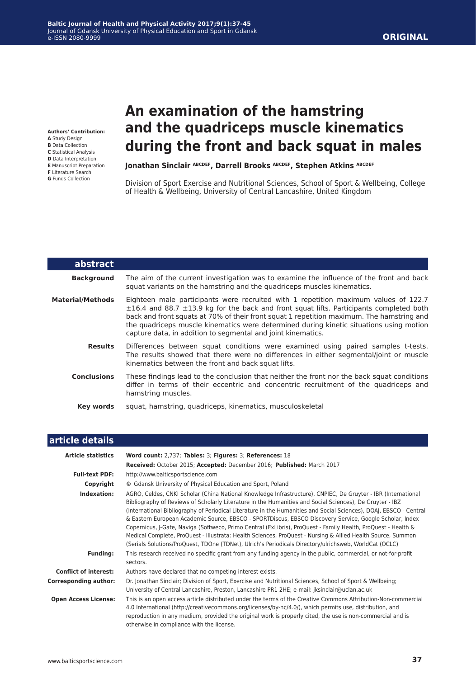**Authors' Contribution: A** Study Design **B** Data Collection **C** Statistical Analysis

- **D** Data Interpretation
- **E** Manuscript Preparation
- **F** Literature Search
- **G** Funds Collection

# **An examination of the hamstring and the quadriceps muscle kinematics during the front and back squat in males**

## **Jonathan Sinclair ABCDEF, Darrell Brooks ABCDEF, Stephen Atkins ABCDEF**

Division of Sport Exercise and Nutritional Sciences, School of Sport & Wellbeing, College of Health & Wellbeing, University of Central Lancashire, United Kingdom

| abstract<br><b>Background</b><br>squat variants on the hamstring and the quadriceps muscles kinematics.<br>Material/Methods<br>capture data, in addition to segmental and joint kinematics.<br><b>Results</b><br>kinematics between the front and back squat lifts.<br><b>Conclusions</b><br>hamstring muscles.<br>squat, hamstring, quadriceps, kinematics, musculoskeletal<br>Key words |                                                                                                                                                                                                                                                                                                                                                                                  |
|-------------------------------------------------------------------------------------------------------------------------------------------------------------------------------------------------------------------------------------------------------------------------------------------------------------------------------------------------------------------------------------------|----------------------------------------------------------------------------------------------------------------------------------------------------------------------------------------------------------------------------------------------------------------------------------------------------------------------------------------------------------------------------------|
|                                                                                                                                                                                                                                                                                                                                                                                           |                                                                                                                                                                                                                                                                                                                                                                                  |
|                                                                                                                                                                                                                                                                                                                                                                                           | The aim of the current investigation was to examine the influence of the front and back                                                                                                                                                                                                                                                                                          |
|                                                                                                                                                                                                                                                                                                                                                                                           | Eighteen male participants were recruited with 1 repetition maximum values of 122.7<br>$\pm 16.4$ and 88.7 $\pm 13.9$ kg for the back and front squat lifts. Participants completed both<br>back and front squats at 70% of their front squat 1 repetition maximum. The hamstring and<br>the quadriceps muscle kinematics were determined during kinetic situations using motion |
|                                                                                                                                                                                                                                                                                                                                                                                           | Differences between squat conditions were examined using paired samples t-tests.<br>The results showed that there were no differences in either segmental/joint or muscle                                                                                                                                                                                                        |
|                                                                                                                                                                                                                                                                                                                                                                                           | These findings lead to the conclusion that neither the front nor the back squat conditions<br>differ in terms of their eccentric and concentric recruitment of the quadriceps and                                                                                                                                                                                                |
|                                                                                                                                                                                                                                                                                                                                                                                           |                                                                                                                                                                                                                                                                                                                                                                                  |

| article details              |                                                                                                                                                                                                                                                                                                                                                                                                                                                                                                                                                                                                                                                                                                                                                                                                      |
|------------------------------|------------------------------------------------------------------------------------------------------------------------------------------------------------------------------------------------------------------------------------------------------------------------------------------------------------------------------------------------------------------------------------------------------------------------------------------------------------------------------------------------------------------------------------------------------------------------------------------------------------------------------------------------------------------------------------------------------------------------------------------------------------------------------------------------------|
| <b>Article statistics</b>    | Word count: 2,737; Tables: 3; Figures: 3; References: 18                                                                                                                                                                                                                                                                                                                                                                                                                                                                                                                                                                                                                                                                                                                                             |
|                              | Received: October 2015; Accepted: December 2016; Published: March 2017                                                                                                                                                                                                                                                                                                                                                                                                                                                                                                                                                                                                                                                                                                                               |
| <b>Full-text PDF:</b>        | http://www.balticsportscience.com                                                                                                                                                                                                                                                                                                                                                                                                                                                                                                                                                                                                                                                                                                                                                                    |
| Copyright                    | © Gdansk University of Physical Education and Sport, Poland                                                                                                                                                                                                                                                                                                                                                                                                                                                                                                                                                                                                                                                                                                                                          |
| Indexation:                  | AGRO, Celdes, CNKI Scholar (China National Knowledge Infrastructure), CNPIEC, De Gruyter - IBR (International<br>Bibliography of Reviews of Scholarly Literature in the Humanities and Social Sciences), De Gruyter - IBZ<br>(International Bibliography of Periodical Literature in the Humanities and Social Sciences), DOAJ, EBSCO - Central<br>& Eastern European Academic Source, EBSCO - SPORTDiscus, EBSCO Discovery Service, Google Scholar, Index<br>Copernicus, J-Gate, Naviga (Softweco, Primo Central (ExLibris), ProQuest - Family Health, ProQuest - Health &<br>Medical Complete, ProQuest - Illustrata: Health Sciences, ProQuest - Nursing & Allied Health Source, Summon<br>(Serials Solutions/ProQuest, TDOne (TDNet), Ulrich's Periodicals Directory/ulrichsweb, WorldCat (OCLC) |
| <b>Funding:</b>              | This research received no specific grant from any funding agency in the public, commercial, or not-for-profit<br>sectors.                                                                                                                                                                                                                                                                                                                                                                                                                                                                                                                                                                                                                                                                            |
| <b>Conflict of interest:</b> | Authors have declared that no competing interest exists.                                                                                                                                                                                                                                                                                                                                                                                                                                                                                                                                                                                                                                                                                                                                             |
| <b>Corresponding author:</b> | Dr. Jonathan Sinclair; Division of Sport, Exercise and Nutritional Sciences, School of Sport & Wellbeing;<br>University of Central Lancashire, Preston, Lancashire PR1 2HE; e-mail: jksinclair@uclan.ac.uk                                                                                                                                                                                                                                                                                                                                                                                                                                                                                                                                                                                           |
| <b>Open Access License:</b>  | This is an open access article distributed under the terms of the Creative Commons Attribution-Non-commercial<br>4.0 International (http://creativecommons.org/licenses/by-nc/4.0/), which permits use, distribution, and<br>reproduction in any medium, provided the original work is properly cited, the use is non-commercial and is<br>otherwise in compliance with the license.                                                                                                                                                                                                                                                                                                                                                                                                                 |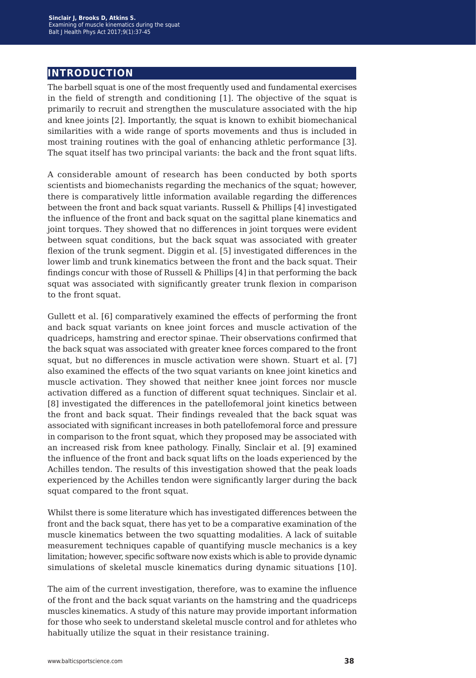## **introduction**

The barbell squat is one of the most frequently used and fundamental exercises in the field of strength and conditioning [1]. The objective of the squat is primarily to recruit and strengthen the musculature associated with the hip and knee joints [2]. Importantly, the squat is known to exhibit biomechanical similarities with a wide range of sports movements and thus is included in most training routines with the goal of enhancing athletic performance [3]. The squat itself has two principal variants: the back and the front squat lifts.

A considerable amount of research has been conducted by both sports scientists and biomechanists regarding the mechanics of the squat; however, there is comparatively little information available regarding the differences between the front and back squat variants. Russell & Phillips [4] investigated the influence of the front and back squat on the sagittal plane kinematics and joint torques. They showed that no differences in joint torques were evident between squat conditions, but the back squat was associated with greater flexion of the trunk segment. Diggin et al. [5] investigated differences in the lower limb and trunk kinematics between the front and the back squat. Their findings concur with those of Russell & Phillips [4] in that performing the back squat was associated with significantly greater trunk flexion in comparison to the front squat.

Gullett et al. [6] comparatively examined the effects of performing the front and back squat variants on knee joint forces and muscle activation of the quadriceps, hamstring and erector spinae. Their observations confirmed that the back squat was associated with greater knee forces compared to the front squat, but no differences in muscle activation were shown. Stuart et al. [7] also examined the effects of the two squat variants on knee joint kinetics and muscle activation. They showed that neither knee joint forces nor muscle activation differed as a function of different squat techniques. Sinclair et al. [8] investigated the differences in the patellofemoral joint kinetics between the front and back squat. Their findings revealed that the back squat was associated with significant increases in both patellofemoral force and pressure in comparison to the front squat, which they proposed may be associated with an increased risk from knee pathology. Finally, Sinclair et al. [9] examined the influence of the front and back squat lifts on the loads experienced by the Achilles tendon. The results of this investigation showed that the peak loads experienced by the Achilles tendon were significantly larger during the back squat compared to the front squat.

Whilst there is some literature which has investigated differences between the front and the back squat, there has yet to be a comparative examination of the muscle kinematics between the two squatting modalities. A lack of suitable measurement techniques capable of quantifying muscle mechanics is a key limitation; however, specific software now exists which is able to provide dynamic simulations of skeletal muscle kinematics during dynamic situations [10].

The aim of the current investigation, therefore, was to examine the influence of the front and the back squat variants on the hamstring and the quadriceps muscles kinematics. A study of this nature may provide important information for those who seek to understand skeletal muscle control and for athletes who habitually utilize the squat in their resistance training.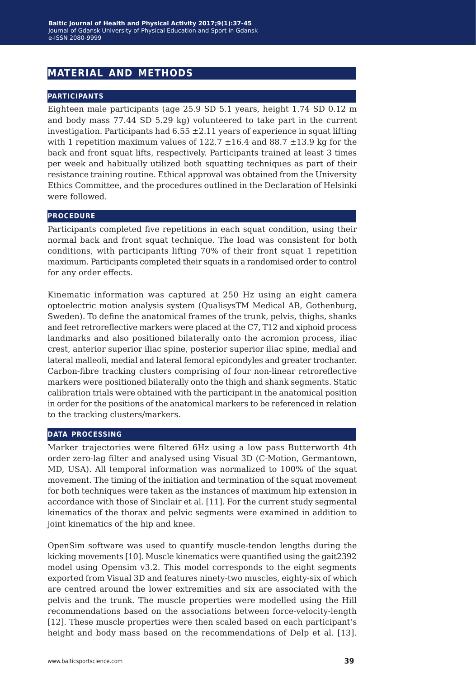## **material and methods**

## **participants**

Eighteen male participants (age 25.9 SD 5.1 years, height 1.74 SD 0.12 m and body mass 77.44 SD 5.29 kg) volunteered to take part in the current investigation. Participants had  $6.55 \pm 2.11$  years of experience in squat lifting with 1 repetition maximum values of  $122.7 \pm 16.4$  and  $88.7 \pm 13.9$  kg for the back and front squat lifts, respectively. Participants trained at least 3 times per week and habitually utilized both squatting techniques as part of their resistance training routine. Ethical approval was obtained from the University Ethics Committee, and the procedures outlined in the Declaration of Helsinki were followed.

### **procedure**

Participants completed five repetitions in each squat condition, using their normal back and front squat technique. The load was consistent for both conditions, with participants lifting 70% of their front squat 1 repetition maximum. Participants completed their squats in a randomised order to control for any order effects.

Kinematic information was captured at 250 Hz using an eight camera optoelectric motion analysis system (QualisysTM Medical AB, Gothenburg, Sweden). To define the anatomical frames of the trunk, pelvis, thighs, shanks and feet retroreflective markers were placed at the C7, T12 and xiphoid process landmarks and also positioned bilaterally onto the acromion process, iliac crest, anterior superior iliac spine, posterior superior iliac spine, medial and lateral malleoli, medial and lateral femoral epicondyles and greater trochanter. Carbon-fibre tracking clusters comprising of four non-linear retroreflective markers were positioned bilaterally onto the thigh and shank segments. Static calibration trials were obtained with the participant in the anatomical position in order for the positions of the anatomical markers to be referenced in relation to the tracking clusters/markers.

#### **data processing**

Marker trajectories were filtered 6Hz using a low pass Butterworth 4th order zero-lag filter and analysed using Visual 3D (C-Motion, Germantown, MD, USA). All temporal information was normalized to 100% of the squat movement. The timing of the initiation and termination of the squat movement for both techniques were taken as the instances of maximum hip extension in accordance with those of Sinclair et al. [11]. For the current study segmental kinematics of the thorax and pelvic segments were examined in addition to joint kinematics of the hip and knee.

OpenSim software was used to quantify muscle-tendon lengths during the kicking movements [10]. Muscle kinematics were quantified using the gait2392 model using Opensim v3.2. This model corresponds to the eight segments exported from Visual 3D and features ninety-two muscles, eighty-six of which are centred around the lower extremities and six are associated with the pelvis and the trunk. The muscle properties were modelled using the Hill recommendations based on the associations between force-velocity-length [12]. These muscle properties were then scaled based on each participant's height and body mass based on the recommendations of Delp et al. [13].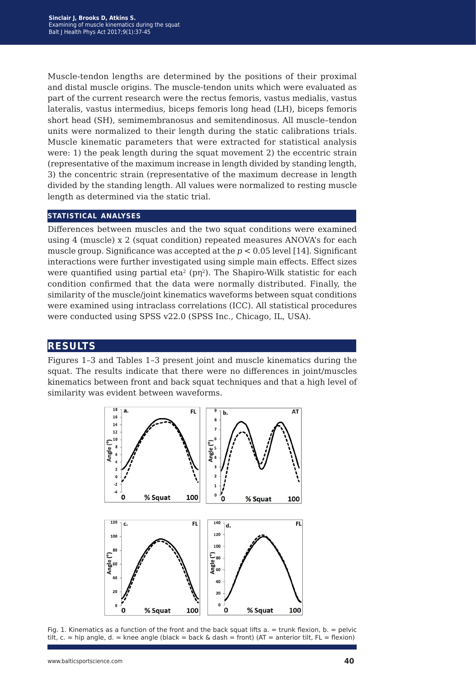Muscle-tendon lengths are determined by the positions of their proximal and distal muscle origins. The muscle-tendon units which were evaluated as part of the current research were the rectus femoris, vastus medialis, vastus lateralis, vastus intermedius, biceps femoris long head (LH), biceps femoris short head (SH), semimembranosus and semitendinosus. All muscle–tendon units were normalized to their length during the static calibrations trials. Muscle kinematic parameters that were extracted for statistical analysis were: 1) the peak length during the squat movement 2) the eccentric strain (representative of the maximum increase in length divided by standing length, 3) the concentric strain (representative of the maximum decrease in length divided by the standing length. All values were normalized to resting muscle length as determined via the static trial.

## **statistical analyses**

Differences between muscles and the two squat conditions were examined using 4 (muscle) x 2 (squat condition) repeated measures ANOVA's for each muscle group. Significance was accepted at the  $p < 0.05$  level [14]. Significant interactions were further investigated using simple main effects. Effect sizes were quantified using partial eta<sup>2</sup> (pn<sup>2</sup>). The Shapiro-Wilk statistic for each condition confirmed that the data were normally distributed. Finally, the similarity of the muscle/joint kinematics waveforms between squat conditions were examined using intraclass correlations (ICC). All statistical procedures were conducted using SPSS v22.0 (SPSS Inc., Chicago, IL, USA).

## **results**

Figures 1–3 and Tables 1–3 present joint and muscle kinematics during the squat. The results indicate that there were no differences in joint/muscles kinematics between front and back squat techniques and that a high level of similarity was evident between waveforms.



Fig. 1. Kinematics as a function of the front and the back squat lifts  $a = \text{trunk}$  flexion,  $b = \text{pelvic}$ tilt, c. = hip angle, d. = knee angle (black = back & dash = front) (AT = anterior tilt, FL = flexion)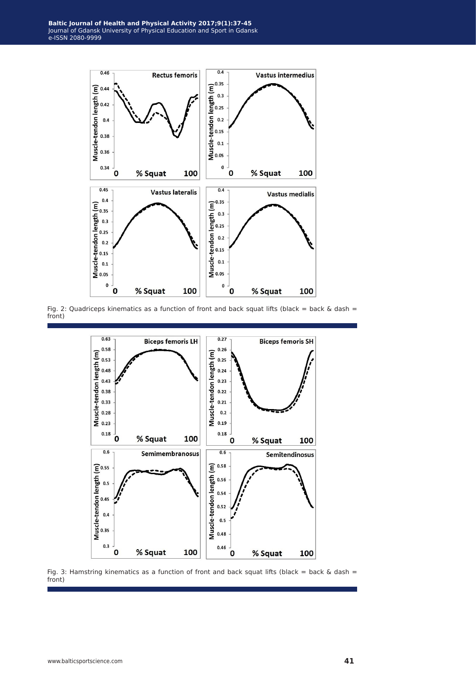

Fig. 2: Quadriceps kinematics as a function of front and back squat lifts (black = back & dash = front)



Fig. 3: Hamstring kinematics as a function of front and back squat lifts (black = back & dash = front)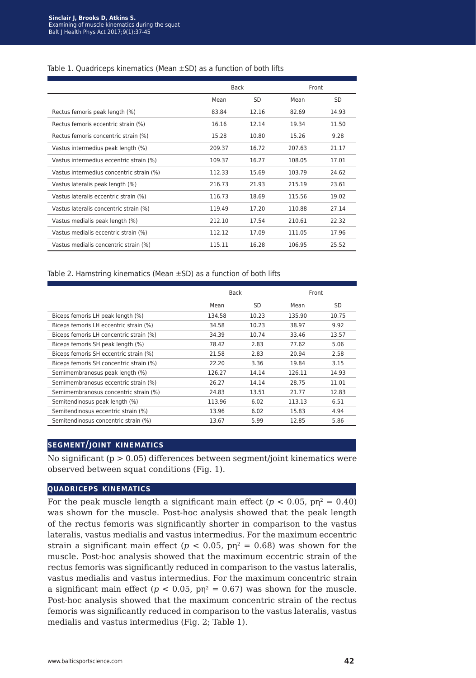#### Table 1. Quadriceps kinematics (Mean ±SD) as a function of both lifts

|                                          | <b>Back</b> |       | Front  |       |
|------------------------------------------|-------------|-------|--------|-------|
|                                          | Mean        | SD.   | Mean   | SD    |
| Rectus femoris peak length (%)           | 83.84       | 12.16 | 82.69  | 14.93 |
| Rectus femoris eccentric strain (%)      | 16.16       | 12.14 | 19.34  | 11.50 |
| Rectus femoris concentric strain (%)     | 15.28       | 10.80 | 15.26  | 9.28  |
| Vastus intermedius peak length (%)       | 209.37      | 16.72 | 207.63 | 21.17 |
| Vastus intermedius eccentric strain (%)  | 109.37      | 16.27 | 108.05 | 17.01 |
| Vastus intermedius concentric strain (%) | 112.33      | 15.69 | 103.79 | 24.62 |
| Vastus lateralis peak length (%)         | 216.73      | 21.93 | 215.19 | 23.61 |
| Vastus lateralis eccentric strain (%)    | 116.73      | 18.69 | 115.56 | 19.02 |
| Vastus lateralis concentric strain (%)   | 119.49      | 17.20 | 110.88 | 27.14 |
| Vastus medialis peak length (%)          | 212.10      | 17.54 | 210.61 | 22.32 |
| Vastus medialis eccentric strain (%)     | 112.12      | 17.09 | 111.05 | 17.96 |
| Vastus medialis concentric strain (%)    | 115.11      | 16.28 | 106.95 | 25.52 |

#### Table 2. Hamstring kinematics (Mean ±SD) as a function of both lifts

|                                         | <b>Back</b> |           | Front  |           |
|-----------------------------------------|-------------|-----------|--------|-----------|
|                                         | Mean        | <b>SD</b> | Mean   | <b>SD</b> |
| Biceps femoris LH peak length (%)       | 134.58      | 10.23     | 135.90 | 10.75     |
| Biceps femoris LH eccentric strain (%)  | 34.58       | 10.23     | 38.97  | 9.92      |
| Biceps femoris LH concentric strain (%) | 34.39       | 10.74     | 33.46  | 13.57     |
| Biceps femoris SH peak length (%)       | 78.42       | 2.83      | 77.62  | 5.06      |
| Biceps femoris SH eccentric strain (%)  | 21.58       | 2.83      | 20.94  | 2.58      |
| Biceps femoris SH concentric strain (%) | 22.20       | 3.36      | 19.84  | 3.15      |
| Semimembranosus peak length (%)         | 126.27      | 14.14     | 126.11 | 14.93     |
| Semimembranosus eccentric strain (%)    | 26.27       | 14.14     | 28.75  | 11.01     |
| Semimembranosus concentric strain (%)   | 24.83       | 13.51     | 21.77  | 12.83     |
| Semitendinosus peak length (%)          | 113.96      | 6.02      | 113.13 | 6.51      |
| Semitendinosus eccentric strain (%)     | 13.96       | 6.02      | 15.83  | 4.94      |
| Semitendinosus concentric strain (%)    | 13.67       | 5.99      | 12.85  | 5.86      |

## **segment/joint kinematics**

No significant ( $p > 0.05$ ) differences between segment/joint kinematics were observed between squat conditions (Fig. 1).

## **quadriceps kinematics**

For the peak muscle length a significant main effect ( $p < 0.05$ ,  $p\eta^2 = 0.40$ ) was shown for the muscle. Post-hoc analysis showed that the peak length of the rectus femoris was significantly shorter in comparison to the vastus lateralis, vastus medialis and vastus intermedius. For the maximum eccentric strain a significant main effect ( $p < 0.05$ ,  $p\eta^2 = 0.68$ ) was shown for the muscle. Post-hoc analysis showed that the maximum eccentric strain of the rectus femoris was significantly reduced in comparison to the vastus lateralis, vastus medialis and vastus intermedius. For the maximum concentric strain a significant main effect ( $p < 0.05$ ,  $p\eta^2 = 0.67$ ) was shown for the muscle. Post-hoc analysis showed that the maximum concentric strain of the rectus femoris was significantly reduced in comparison to the vastus lateralis, vastus medialis and vastus intermedius (Fig. 2; Table 1).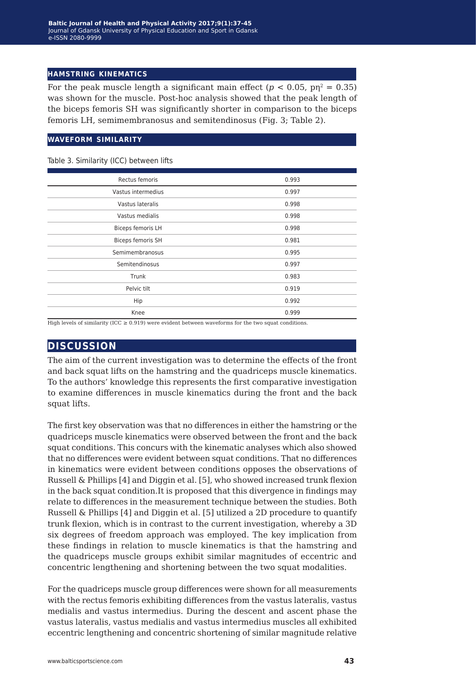### **hamstring kinematics**

For the peak muscle length a significant main effect ( $p < 0.05$ ,  $p\eta^2 = 0.35$ ) was shown for the muscle. Post-hoc analysis showed that the peak length of the biceps femoris SH was significantly shorter in comparison to the biceps femoris LH, semimembranosus and semitendinosus (Fig. 3; Table 2).

#### **waveform similarity**

Table 3. Similarity (ICC) between lifts

| Rectus femoris     | 0.993 |
|--------------------|-------|
| Vastus intermedius | 0.997 |
| Vastus lateralis   | 0.998 |
| Vastus medialis    | 0.998 |
| Biceps femoris LH  | 0.998 |
| Biceps femoris SH  | 0.981 |
| Semimembranosus    | 0.995 |
| Semitendinosus     | 0.997 |
| Trunk              | 0.983 |
| Pelvic tilt        | 0.919 |
| Hip                | 0.992 |
| Knee               | 0.999 |

High levels of similarity (ICC  $\geq$  0.919) were evident between waveforms for the two squat conditions.

## **discussion**

The aim of the current investigation was to determine the effects of the front and back squat lifts on the hamstring and the quadriceps muscle kinematics. To the authors' knowledge this represents the first comparative investigation to examine differences in muscle kinematics during the front and the back squat lifts.

The first key observation was that no differences in either the hamstring or the quadriceps muscle kinematics were observed between the front and the back squat conditions. This concurs with the kinematic analyses which also showed that no differences were evident between squat conditions. That no differences in kinematics were evident between conditions opposes the observations of Russell & Phillips [4] and Diggin et al. [5], who showed increased trunk flexion in the back squat condition.It is proposed that this divergence in findings may relate to differences in the measurement technique between the studies. Both Russell & Phillips [4] and Diggin et al. [5] utilized a 2D procedure to quantify trunk flexion, which is in contrast to the current investigation, whereby a 3D six degrees of freedom approach was employed. The key implication from these findings in relation to muscle kinematics is that the hamstring and the quadriceps muscle groups exhibit similar magnitudes of eccentric and concentric lengthening and shortening between the two squat modalities.

For the quadriceps muscle group differences were shown for all measurements with the rectus femoris exhibiting differences from the vastus lateralis, vastus medialis and vastus intermedius. During the descent and ascent phase the vastus lateralis, vastus medialis and vastus intermedius muscles all exhibited eccentric lengthening and concentric shortening of similar magnitude relative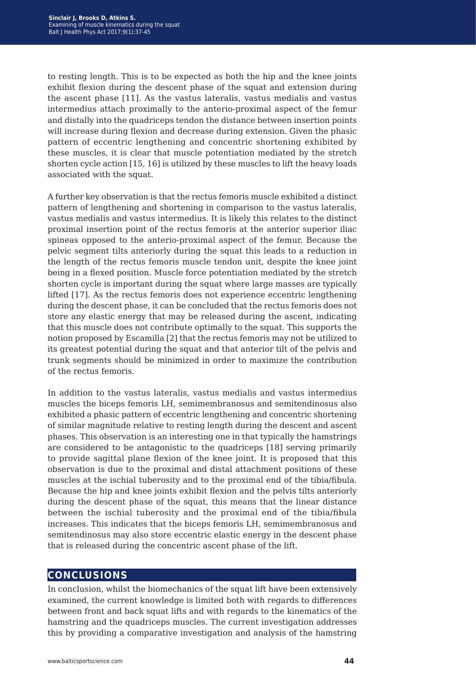to resting length. This is to be expected as both the hip and the knee joints exhibit flexion during the descent phase of the squat and extension during the ascent phase [11]. As the vastus lateralis, vastus medialis and vastus intermedius attach proximally to the anterio-proximal aspect of the femur and distally into the quadriceps tendon the distance between insertion points will increase during flexion and decrease during extension. Given the phasic pattern of eccentric lengthening and concentric shortening exhibited by these muscles, it is clear that muscle potentiation mediated by the stretch shorten cycle action [15, 16] is utilized by these muscles to lift the heavy loads associated with the squat.

A further key observation is that the rectus femoris muscle exhibited a distinct pattern of lengthening and shortening in comparison to the vastus lateralis, vastus medialis and vastus intermedius. It is likely this relates to the distinct proximal insertion point of the rectus femoris at the anterior superior iliac spineas opposed to the anterio-proximal aspect of the femur. Because the pelvic segment tilts anteriorly during the squat this leads to a reduction in the length of the rectus femoris muscle tendon unit, despite the knee joint being in a flexed position. Muscle force potentiation mediated by the stretch shorten cycle is important during the squat where large masses are typically lifted [17]. As the rectus femoris does not experience eccentric lengthening during the descent phase, it can be concluded that the rectus femoris does not store any elastic energy that may be released during the ascent, indicating that this muscle does not contribute optimally to the squat. This supports the notion proposed by Escamilla [2] that the rectus femoris may not be utilized to its greatest potential during the squat and that anterior tilt of the pelvis and trunk segments should be minimized in order to maximize the contribution of the rectus femoris.

In addition to the vastus lateralis, vastus medialis and vastus intermedius muscles the biceps femoris LH, semimembranosus and semitendinosus also exhibited a phasic pattern of eccentric lengthening and concentric shortening of similar magnitude relative to resting length during the descent and ascent phases. This observation is an interesting one in that typically the hamstrings are considered to be antagonistic to the quadriceps [18] serving primarily to provide sagittal plane flexion of the knee joint. It is proposed that this observation is due to the proximal and distal attachment positions of these muscles at the ischial tuberosity and to the proximal end of the tibia/fibula. Because the hip and knee joints exhibit flexion and the pelvis tilts anteriorly during the descent phase of the squat, this means that the linear distance between the ischial tuberosity and the proximal end of the tibia/fibula increases. This indicates that the biceps femoris LH, semimembranosus and semitendinosus may also store eccentric elastic energy in the descent phase that is released during the concentric ascent phase of the lift.

## **conclusions**

In conclusion, whilst the biomechanics of the squat lift have been extensively examined, the current knowledge is limited both with regards to differences between front and back squat lifts and with regards to the kinematics of the hamstring and the quadriceps muscles. The current investigation addresses this by providing a comparative investigation and analysis of the hamstring